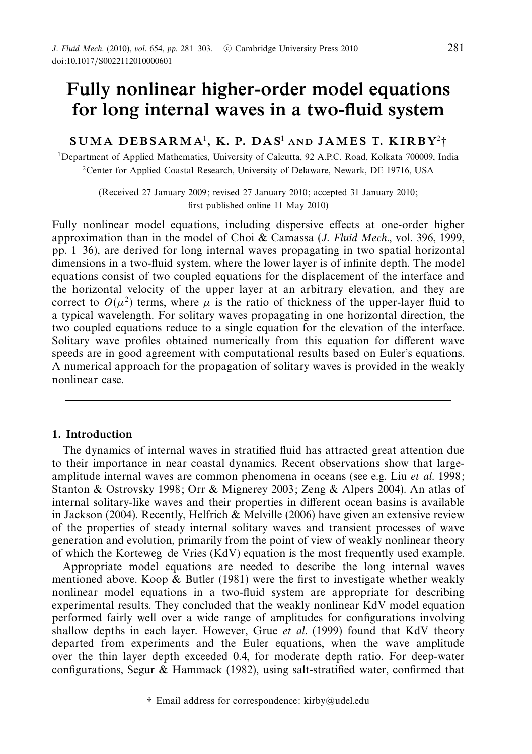# *Fully nonlinear higher-order model equations for long internal waves in a two-fluid system*

*SUMA DEBSARMA*<sup>1</sup>*, K. P. D A S*<sup>1</sup> *AND J AM E S T. K I R B Y*<sup>2</sup>†

<sup>1</sup>Department of Applied Mathematics, University of Calcutta, 92 A.P.C. Road, Kolkata 700009, India 2Center for Applied Coastal Research, University of Delaware, Newark, DE 19716, USA

(Received 27 January 2009; revised 27 January 2010; accepted 31 January 2010; first published online 11 May 2010)

Fully nonlinear model equations, including dispersive effects at one-order higher approximation than in the model of Choi & Camassa (J. Fluid Mech., vol. 396, 1999, pp. 1–36), are derived for long internal waves propagating in two spatial horizontal dimensions in a two-fluid system, where the lower layer is of infinite depth. The model equations consist of two coupled equations for the displacement of the interface and the horizontal velocity of the upper layer at an arbitrary elevation, and they are correct to  $O(\mu^2)$  terms, where  $\mu$  is the ratio of thickness of the upper-layer fluid to a typical wavelength. For solitary waves propagating in one horizontal direction, the two coupled equations reduce to a single equation for the elevation of the interface. Solitary wave profiles obtained numerically from this equation for different wave speeds are in good agreement with computational results based on Euler's equations. A numerical approach for the propagation of solitary waves is provided in the weakly nonlinear case.

#### *1. Introduction*

The dynamics of internal waves in stratified fluid has attracted great attention due to their importance in near coastal dynamics. Recent observations show that largeamplitude internal waves are common phenomena in oceans (see e.g. Liu et al. 1998; Stanton & Ostrovsky 1998; Orr & Mignerey 2003; Zeng & Alpers 2004). An atlas of internal solitary-like waves and their properties in different ocean basins is available in Jackson (2004). Recently, Helfrich & Melville (2006) have given an extensive review of the properties of steady internal solitary waves and transient processes of wave generation and evolution, primarily from the point of view of weakly nonlinear theory of which the Korteweg–de Vries (KdV) equation is the most frequently used example.

Appropriate model equations are needed to describe the long internal waves mentioned above. Koop  $\&$  Butler (1981) were the first to investigate whether weakly nonlinear model equations in a two-fluid system are appropriate for describing experimental results. They concluded that the weakly nonlinear KdV model equation performed fairly well over a wide range of amplitudes for configurations involving shallow depths in each layer. However, Grue et al. (1999) found that KdV theory departed from experiments and the Euler equations, when the wave amplitude over the thin layer depth exceeded 0.4, for moderate depth ratio. For deep-water configurations, Segur & Hammack (1982), using salt-stratified water, confirmed that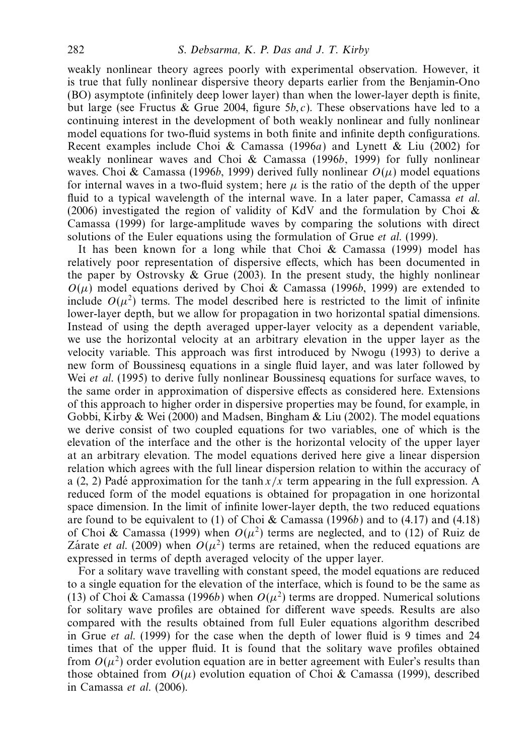weakly nonlinear theory agrees poorly with experimental observation. However, it is true that fully nonlinear dispersive theory departs earlier from the Benjamin-Ono (BO) asymptote (infinitely deep lower layer) than when the lower-layer depth is finite, but large (see Fructus & Grue 2004, figure  $5b, c$ ). These observations have led to a continuing interest in the development of both weakly nonlinear and fully nonlinear model equations for two-fluid systems in both finite and infinite depth configurations. Recent examples include Choi & Camassa (1996a) and Lynett & Liu (2002) for weakly nonlinear waves and Choi & Camassa (1996b, 1999) for fully nonlinear waves. Choi & Camassa (1996b, 1999) derived fully nonlinear  $O(\mu)$  model equations for internal waves in a two-fluid system; here  $\mu$  is the ratio of the depth of the upper fluid to a typical wavelength of the internal wave. In a later paper, Camassa et al. (2006) investigated the region of validity of KdV and the formulation by Choi & Camassa (1999) for large-amplitude waves by comparing the solutions with direct solutions of the Euler equations using the formulation of Grue et al. (1999).

It has been known for a long while that Choi & Camassa (1999) model has relatively poor representation of dispersive effects, which has been documented in the paper by Ostrovsky & Grue (2003). In the present study, the highly nonlinear  $O(\mu)$  model equations derived by Choi & Camassa (1996b, 1999) are extended to include  $O(\mu^2)$  terms. The model described here is restricted to the limit of infinite lower-layer depth, but we allow for propagation in two horizontal spatial dimensions. Instead of using the depth averaged upper-layer velocity as a dependent variable, we use the horizontal velocity at an arbitrary elevation in the upper layer as the velocity variable. This approach was first introduced by Nwogu (1993) to derive a new form of Boussinesq equations in a single fluid layer, and was later followed by Wei *et al.* (1995) to derive fully nonlinear Boussinesq equations for surface waves, to the same order in approximation of dispersive effects as considered here. Extensions of this approach to higher order in dispersive properties may be found, for example, in Gobbi, Kirby & Wei (2000) and Madsen, Bingham & Liu (2002). The model equations we derive consist of two coupled equations for two variables, one of which is the elevation of the interface and the other is the horizontal velocity of the upper layer at an arbitrary elevation. The model equations derived here give a linear dispersion relation which agrees with the full linear dispersion relation to within the accuracy of a (2, 2) Padé approximation for the tanh  $x/x$  term appearing in the full expression. A reduced form of the model equations is obtained for propagation in one horizontal space dimension. In the limit of infinite lower-layer depth, the two reduced equations are found to be equivalent to (1) of Choi & Camassa (1996b) and to (4.17) and (4.18) of Choi & Camassa (1999) when  $O(\mu^2)$  terms are neglected, and to (12) of Ruiz de Zarate *et al.* (2009) when  $O(\mu^2)$  terms are retained, when the reduced equations are expressed in terms of depth averaged velocity of the upper layer.

For a solitary wave travelling with constant speed, the model equations are reduced to a single equation for the elevation of the interface, which is found to be the same as (13) of Choi & Camassa (1996b) when  $O(\mu^2)$  terms are dropped. Numerical solutions for solitary wave profiles are obtained for different wave speeds. Results are also compared with the results obtained from full Euler equations algorithm described in Grue et al. (1999) for the case when the depth of lower fluid is 9 times and 24 times that of the upper fluid. It is found that the solitary wave profiles obtained from  $O(\mu^2)$  order evolution equation are in better agreement with Euler's results than those obtained from  $O(\mu)$  evolution equation of Choi & Camassa (1999), described in Camassa et al. (2006).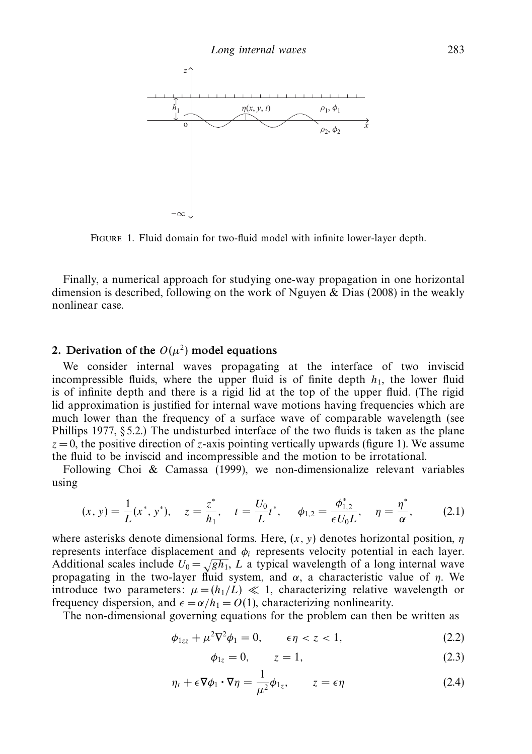

Figure 1. Fluid domain for two-fluid model with infinite lower-layer depth.

Finally, a numerical approach for studying one-way propagation in one horizontal dimension is described, following on the work of Nguyen  $\&$  Dias (2008) in the weakly nonlinear case.

## 2. Derivation of the  $O(\mu^2)$  model equations

We consider internal waves propagating at the interface of two inviscid incompressible fluids, where the upper fluid is of finite depth  $h_1$ , the lower fluid is of infinite depth and there is a rigid lid at the top of the upper fluid. (The rigid lid approximation is justified for internal wave motions having frequencies which are much lower than the frequency of a surface wave of comparable wavelength (see Phillips 1977,  $\S 5.2$ .) The undisturbed interface of the two fluids is taken as the plane  $z = 0$ , the positive direction of *z*-axis pointing vertically upwards (figure 1). We assume the fluid to be inviscid and incompressible and the motion to be irrotational.

Following Choi & Camassa (1999), we non-dimensionalize relevant variables using

$$
(x, y) = \frac{1}{L}(x^*, y^*), \quad z = \frac{z^*}{h_1}, \quad t = \frac{U_0}{L}t^*, \quad \phi_{1,2} = \frac{\phi_{1,2}^*}{\epsilon U_0 L}, \quad \eta = \frac{\eta^*}{\alpha}, \tag{2.1}
$$

where asterisks denote dimensional forms. Here, (*x,y*) denotes horizontal position, *η* represents interface displacement and *φi* represents velocity potential in each layer. Additional scales include  $U_0 = \sqrt{gh_1}$ , *L* a typical wavelength of a long internal wave propagating in the two-layer fluid system, and *α*, a characteristic value of *η*. We introduce two parameters:  $\mu = (h_1/L) \ll 1$ , characterizing relative wavelength or frequency dispersion, and  $\epsilon = \alpha/h_1 = O(1)$ , characterizing nonlinearity.

The non-dimensional governing equations for the problem can then be written as

$$
\phi_{1zz} + \mu^2 \nabla^2 \phi_1 = 0, \qquad \epsilon \eta < z < 1,\tag{2.2}
$$

$$
\phi_{1z} = 0, \qquad z = 1,\tag{2.3}
$$

$$
\eta_t + \epsilon \nabla \phi_1 \cdot \nabla \eta = \frac{1}{\mu^2} \phi_{1z}, \qquad z = \epsilon \eta \tag{2.4}
$$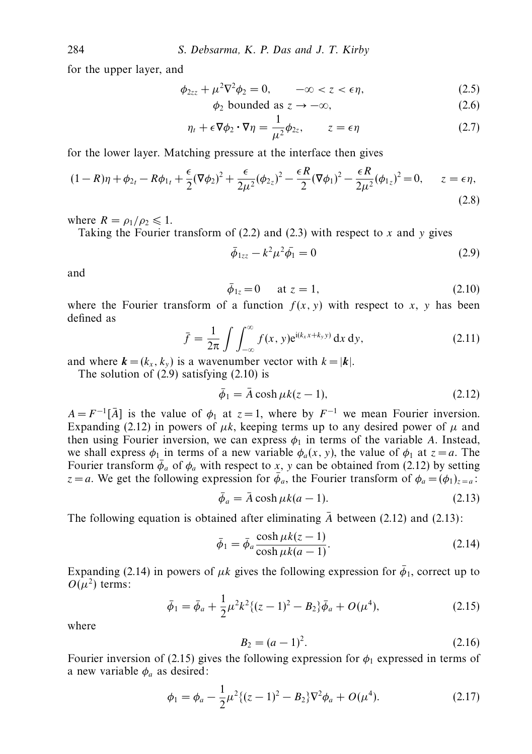for the upper layer, and

$$
\phi_{2zz} + \mu^2 \nabla^2 \phi_2 = 0, \qquad -\infty < z < \epsilon \eta,\tag{2.5}
$$

$$
\phi_2 \text{ bounded as } z \to -\infty,
$$
\n(2.6)

$$
\eta_t + \epsilon \nabla \phi_2 \cdot \nabla \eta = \frac{1}{\mu^2} \phi_{2z}, \qquad z = \epsilon \eta \tag{2.7}
$$

for the lower layer. Matching pressure at the interface then gives

$$
(1 - R)\eta + \phi_{2t} - R\phi_{1t} + \frac{\epsilon}{2}(\nabla\phi_2)^2 + \frac{\epsilon}{2\mu^2}(\phi_{2z})^2 - \frac{\epsilon R}{2}(\nabla\phi_1)^2 - \frac{\epsilon R}{2\mu^2}(\phi_{1z})^2 = 0, \qquad z = \epsilon \eta,
$$
\n(2.8)

where  $R = \rho_1 / \rho_2 \leq 1$ .

Taking the Fourier transform of (2.2) and (2.3) with respect to *x* and *y* gives

$$
\bar{\phi}_{1zz} - k^2 \mu^2 \bar{\phi}_1 = 0 \tag{2.9}
$$

and

$$
\bar{\phi}_{1z} = 0
$$
 at  $z = 1$ , (2.10)

where the Fourier transform of a function  $f(x, y)$  with respect to x, y has been defined as

$$
\bar{f} = \frac{1}{2\pi} \int \int_{-\infty}^{\infty} f(x, y) e^{i(k_x x + k_y y)} dx dy,
$$
\n(2.11)

and where  $\mathbf{k} = (k_x, k_y)$  is a wavenumber vector with  $k = |\mathbf{k}|$ .

The solution of  $(2.9)$  satisfying  $(2.10)$  is

$$
\bar{\phi}_1 = \bar{A} \cosh \mu k(z - 1),\tag{2.12}
$$

 $A = F^{-1}[\overline{A}]$  is the value of  $\phi_1$  at  $z = 1$ , where by  $F^{-1}$  we mean Fourier inversion. Expanding (2.12) in powers of  $\mu k$ , keeping terms up to any desired power of  $\mu$  and then using Fourier inversion, we can express  $\phi_1$  in terms of the variable *A*. Instead, we shall express  $\phi_1$  in terms of a new variable  $\phi_a(x, y)$ , the value of  $\phi_1$  at  $z = a$ . The Fourier transform  $\bar{\phi}_a$  of  $\phi_a$  with respect to *x*, *y* can be obtained from (2.12) by setting *z* = *a*. We get the following expression for  $\bar{\phi}_a$ , the Fourier transform of  $\phi_a = (\phi_1)_{z=a}$ :

$$
\bar{\phi}_a = \bar{A} \cosh \mu k(a-1). \tag{2.13}
$$

The following equation is obtained after eliminating  $\bar{A}$  between (2.12) and (2.13):

$$
\bar{\phi}_1 = \bar{\phi}_a \frac{\cosh \mu k(z-1)}{\cosh \mu k(a-1)}.
$$
\n(2.14)

Expanding (2.14) in powers of  $\mu k$  gives the following expression for  $\bar{\phi}_1$ , correct up to  $O(\mu^2)$  terms:

$$
\bar{\phi}_1 = \bar{\phi}_a + \frac{1}{2} \mu^2 k^2 \{ (z - 1)^2 - B_2 \} \bar{\phi}_a + O(\mu^4), \tag{2.15}
$$

where

$$
B_2 = (a-1)^2. \tag{2.16}
$$

Fourier inversion of (2.15) gives the following expression for  $\phi_1$  expressed in terms of a new variable  $\phi_a$  as desired:

$$
\phi_1 = \phi_a - \frac{1}{2}\mu^2 \{ (z-1)^2 - B_2 \} \nabla^2 \phi_a + O(\mu^4). \tag{2.17}
$$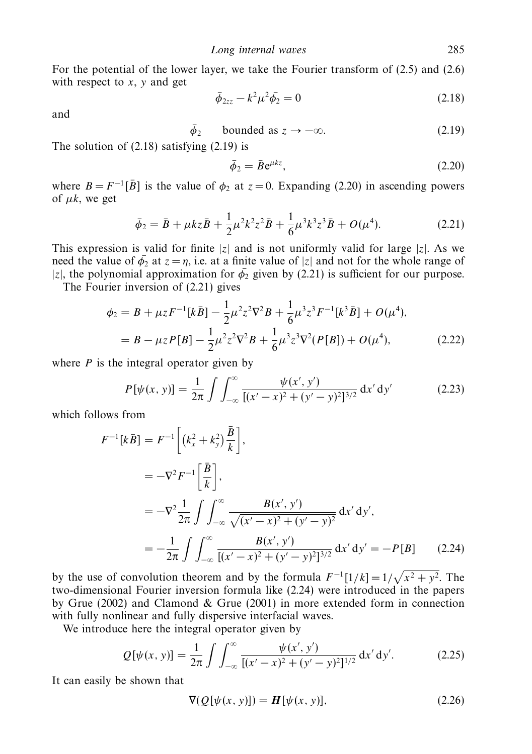For the potential of the lower layer, we take the Fourier transform of (2.5) and (2.6) with respect to *x*, *y* and get

$$
\bar{\phi}_{2zz} - k^2 \mu^2 \bar{\phi}_2 = 0 \tag{2.18}
$$

and

$$
\bar{\phi}_2 \qquad \text{bounded as } z \to -\infty. \tag{2.19}
$$

The solution of (2.18) satisfying (2.19) is

$$
\bar{\phi}_2 = \bar{B} e^{\mu k z},\tag{2.20}
$$

where  $B = F^{-1}[\bar{B}]$  is the value of  $\phi_2$  at  $z = 0$ . Expanding (2.20) in ascending powers of  $\mu k$ , we get

$$
\bar{\phi}_2 = \bar{B} + \mu k z \bar{B} + \frac{1}{2} \mu^2 k^2 z^2 \bar{B} + \frac{1}{6} \mu^3 k^3 z^3 \bar{B} + O(\mu^4). \tag{2.21}
$$

This expression is valid for finite  $|z|$  and is not uniformly valid for large  $|z|$ . As we need the value of  $\bar{\phi_2}$  at  $z = \eta$ , i.e. at a finite value of |*z*| and not for the whole range of |z|, the polynomial approximation for  $\bar{\phi_2}$  given by (2.21) is sufficient for our purpose.

The Fourier inversion of (2.21) gives

$$
\phi_2 = B + \mu z F^{-1} [k\bar{B}] - \frac{1}{2} \mu^2 z^2 \nabla^2 B + \frac{1}{6} \mu^3 z^3 F^{-1} [k^3 \bar{B}] + O(\mu^4),
$$
  
=  $B - \mu z P[B] - \frac{1}{2} \mu^2 z^2 \nabla^2 B + \frac{1}{6} \mu^3 z^3 \nabla^2 (P[B]) + O(\mu^4),$  (2.22)

where *P* is the integral operator given by

$$
P[\psi(x, y)] = \frac{1}{2\pi} \int \int_{-\infty}^{\infty} \frac{\psi(x', y')}{[(x' - x)^2 + (y' - y)^2]^{3/2}} dx' dy'
$$
 (2.23)

which follows from

$$
F^{-1}[k\bar{B}] = F^{-1}\left[ (k_x^2 + k_y^2) \frac{\bar{B}}{k} \right],
$$
  
\n
$$
= -\nabla^2 F^{-1} \left[ \frac{\bar{B}}{k} \right],
$$
  
\n
$$
= -\nabla^2 \frac{1}{2\pi} \int \int_{-\infty}^{\infty} \frac{B(x', y')}{\sqrt{(x'-x)^2 + (y'-y)^2}} dx' dy',
$$
  
\n
$$
= -\frac{1}{2\pi} \int \int_{-\infty}^{\infty} \frac{B(x', y')}{[(x'-x)^2 + (y'-y)^2]^{3/2}} dx' dy' = -P[B]
$$
(2.24)

by the use of convolution theorem and by the formula  $F^{-1}[1/k] = 1/\sqrt{x^2 + y^2}$ . The two-dimensional Fourier inversion formula like (2.24) were introduced in the papers by Grue (2002) and Clamond & Grue (2001) in more extended form in connection with fully nonlinear and fully dispersive interfacial waves.

We introduce here the integral operator given by

$$
Q[\psi(x, y)] = \frac{1}{2\pi} \int \int_{-\infty}^{\infty} \frac{\psi(x', y')}{[(x' - x)^2 + (y' - y)^2]^{1/2}} dx' dy'.
$$
 (2.25)

It can easily be shown that

$$
\nabla(Q[\psi(x, y)]) = H[\psi(x, y)], \qquad (2.26)
$$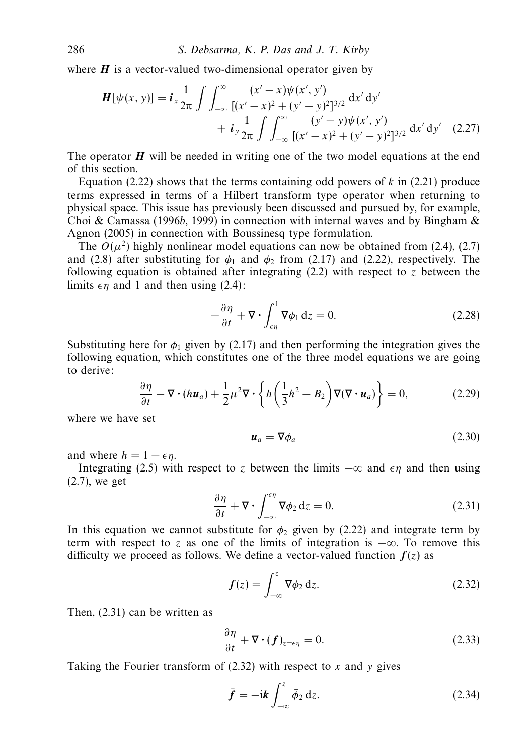where  $H$  is a vector-valued two-dimensional operator given by

$$
\begin{split} \boldsymbol{H}[\psi(x,\,y)] &= \boldsymbol{i}_x \frac{1}{2\pi} \int \int_{-\infty}^{\infty} \frac{(x'-x)\psi(x',\,y')}{[(x'-x)^2 + (y'-y)^2]^{3/2}} \, \mathrm{d}x' \, \mathrm{d}y' \\ &+ \boldsymbol{i}_y \frac{1}{2\pi} \int \int_{-\infty}^{\infty} \frac{(y'-y)\psi(x',\,y')}{[(x'-x)^2 + (y'-y)^2]^{3/2}} \, \mathrm{d}x' \, \mathrm{d}y' \end{split} \tag{2.27}
$$

The operator  $H$  will be needed in writing one of the two model equations at the end of this section.

Equation (2.22) shows that the terms containing odd powers of  $k$  in (2.21) produce terms expressed in terms of a Hilbert transform type operator when returning to physical space. This issue has previously been discussed and pursued by, for example, Choi & Camassa (1996b, 1999) in connection with internal waves and by Bingham  $\&$ Agnon (2005) in connection with Boussinesq type formulation.

The  $O(\mu^2)$  highly nonlinear model equations can now be obtained from (2.4), (2.7) and (2.8) after substituting for  $\phi_1$  and  $\phi_2$  from (2.17) and (2.22), respectively. The following equation is obtained after integrating (2.2) with respect to *z* between the limits  $\epsilon \eta$  and 1 and then using (2.4):

$$
-\frac{\partial \eta}{\partial t} + \nabla \cdot \int_{\epsilon \eta}^{1} \nabla \phi_1 \, \mathrm{d}z = 0. \tag{2.28}
$$

Substituting here for  $\phi_1$  given by (2.17) and then performing the integration gives the following equation, which constitutes one of the three model equations we are going to derive:

$$
\frac{\partial \eta}{\partial t} - \nabla \cdot (h \boldsymbol{u}_a) + \frac{1}{2} \mu^2 \nabla \cdot \left\{ h \left( \frac{1}{3} h^2 - B_2 \right) \nabla (\nabla \cdot \boldsymbol{u}_a) \right\} = 0, \tag{2.29}
$$

where we have set

$$
\boldsymbol{u}_a = \nabla \phi_a \tag{2.30}
$$

and where  $h = 1 - \epsilon \eta$ .

Integrating (2.5) with respect to *z* between the limits  $-\infty$  and  $\epsilon \eta$  and then using (2.7), we get

$$
\frac{\partial \eta}{\partial t} + \nabla \cdot \int_{-\infty}^{\epsilon \eta} \nabla \phi_2 \, \mathrm{d}z = 0. \tag{2.31}
$$

In this equation we cannot substitute for  $\phi_2$  given by (2.22) and integrate term by term with respect to *z* as one of the limits of integration is  $-\infty$ . To remove this difficulty we proceed as follows. We define a vector-valued function  $f(z)$  as

$$
f(z) = \int_{-\infty}^{z} \nabla \phi_2 \, \mathrm{d}z. \tag{2.32}
$$

Then, (2.31) can be written as

$$
\frac{\partial \eta}{\partial t} + \nabla \cdot (f)_{z=\epsilon\eta} = 0. \tag{2.33}
$$

Taking the Fourier transform of (2.32) with respect to *x* and *y* gives

$$
\bar{f} = -i k \int_{-\infty}^{z} \bar{\phi}_2 \, dz. \tag{2.34}
$$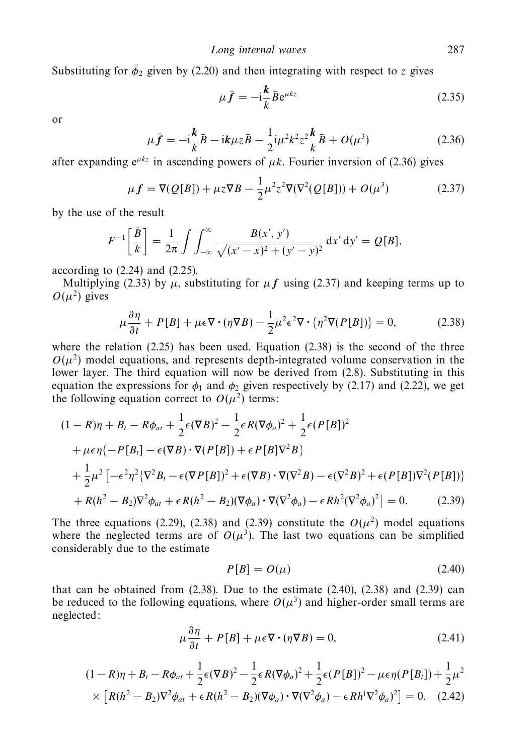Substituting for  $\bar{\phi}_2$  given by (2.20) and then integrating with respect to *z* gives

$$
\mu \bar{f} = -i \frac{k}{k} \bar{B} e^{\mu k z} \tag{2.35}
$$

or

$$
\mu \bar{f} = -i\frac{k}{k}\bar{B} - ik\mu z\bar{B} - \frac{1}{2}i\mu^2 k^2 z^2 \frac{k}{k}\bar{B} + O(\mu^3)
$$
 (2.36)

after expanding  $e^{\mu kz}$  in ascending powers of  $\mu k$ . Fourier inversion of (2.36) gives

$$
\mu f = \nabla(Q[B]) + \mu z \nabla B - \frac{1}{2} \mu^2 z^2 \nabla(\nabla^2(Q[B])) + O(\mu^3)
$$
 (2.37)

by the use of the result

$$
F^{-1}\left[\frac{\bar{B}}{k}\right] = \frac{1}{2\pi} \int \int_{-\infty}^{\infty} \frac{B(x', y')}{\sqrt{(x'-x)^2 + (y'-y)^2}} dx' dy' = Q[B],
$$

according to  $(2.24)$  and  $(2.25)$ .

Multiplying (2.33) by  $\mu$ , substituting for  $\mu f$  using (2.37) and keeping terms up to  $O(\mu^2)$  gives

$$
\mu \frac{\partial \eta}{\partial t} + P[B] + \mu \epsilon \nabla \cdot (\eta \nabla B) - \frac{1}{2} \mu^2 \epsilon^2 \nabla \cdot \{\eta^2 \nabla (P[B])\} = 0, \tag{2.38}
$$

where the relation (2.25) has been used. Equation (2.38) is the second of the three  $O(\mu^2)$  model equations, and represents depth-integrated volume conservation in the lower layer. The third equation will now be derived from (2.8). Substituting in this equation the expressions for  $\phi_1$  and  $\phi_2$  given respectively by (2.17) and (2.22), we get the following equation correct to  $O(\mu^2)$  terms:

$$
(1 - R)\eta + B_t - R\phi_{at} + \frac{1}{2}\epsilon(\nabla B)^2 - \frac{1}{2}\epsilon R(\nabla \phi_a)^2 + \frac{1}{2}\epsilon(P[B])^2 + \mu\epsilon \eta \{-P[B_t] - \epsilon(\nabla B) \cdot \nabla (P[B]) + \epsilon P[B]\nabla^2 B \} + \frac{1}{2}\mu^2 \left[ -\epsilon^2 \eta^2 \{\nabla^2 B_t - \epsilon(\nabla P[B])^2 + \epsilon(\nabla B) \cdot \nabla (\nabla^2 B) - \epsilon(\nabla^2 B)^2 + \epsilon(P[B])\nabla^2 (P[B]) \} \right. + R(h^2 - B_2)\nabla^2 \phi_{at} + \epsilon R(h^2 - B_2)(\nabla \phi_a) \cdot \nabla (\nabla^2 \phi_a) - \epsilon Rh^2 (\nabla^2 \phi_a)^2 \right] = 0. \tag{2.39}
$$

The three equations (2.29), (2.38) and (2.39) constitute the  $O(\mu^2)$  model equations where the neglected terms are of  $O(\mu^3)$ . The last two equations can be simplified considerably due to the estimate

$$
P[B] = O(\mu) \tag{2.40}
$$

that can be obtained from  $(2.38)$ . Due to the estimate  $(2.40)$ ,  $(2.38)$  and  $(2.39)$  can be reduced to the following equations, where  $O(\mu^3)$  and higher-order small terms are neglected:

$$
\mu \frac{\partial \eta}{\partial t} + P[B] + \mu \epsilon \nabla \cdot (\eta \nabla B) = 0, \qquad (2.41)
$$

$$
(1 - R)\eta + B_t - R\phi_{at} + \frac{1}{2}\epsilon(\nabla B)^2 - \frac{1}{2}\epsilon R(\nabla \phi_a)^2 + \frac{1}{2}\epsilon(P[B])^2 - \mu\epsilon \eta(P[B_t]) + \frac{1}{2}\mu^2
$$
  
 
$$
\times \left[ R(h^2 - B_2)\nabla^2 \phi_{at} + \epsilon R(h^2 - B_2)(\nabla \phi_a) \cdot \nabla (\nabla^2 \phi_a) - \epsilon Rh(\nabla^2 \phi_a)^2 \right] = 0. \quad (2.42)
$$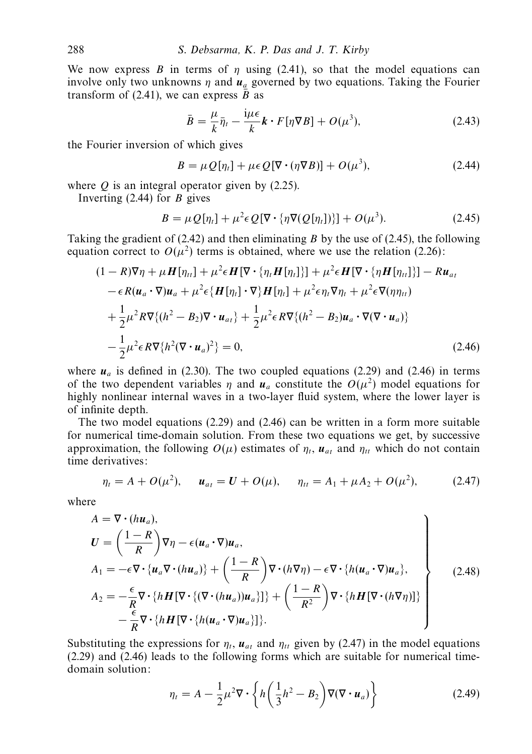We now express *B* in terms of *η* using (2.41), so that the model equations can involve only two unknowns  $\eta$  and  $\mathbf{u}_a$  governed by two equations. Taking the Fourier transform of (2.41), we can express  $\overline{B}$  as

$$
\bar{B} = \frac{\mu}{k}\bar{\eta}_t - \frac{\mathrm{i}\mu\epsilon}{k}\mathbf{k}\cdot F[\eta\nabla B] + O(\mu^3),\tag{2.43}
$$

the Fourier inversion of which gives

$$
B = \mu Q[\eta_t] + \mu \epsilon Q[\nabla \cdot (\eta \nabla B)] + O(\mu^3), \tag{2.44}
$$

where *Q* is an integral operator given by (2.25).

Inverting (2.44) for *B* gives

$$
B = \mu Q[\eta_t] + \mu^2 \epsilon Q[\nabla \cdot {\eta \nabla (Q[\eta_t])}] + O(\mu^3). \tag{2.45}
$$

Taking the gradient of (2.42) and then eliminating *B* by the use of (2.45), the following equation correct to  $O(\mu^2)$  terms is obtained, where we use the relation (2.26):

$$
(1 - R)\nabla \eta + \mu \mathbf{H}[\eta_{tt}] + \mu^2 \epsilon \mathbf{H}[\nabla \cdot \{\eta_t \mathbf{H}[\eta_t]\}] + \mu^2 \epsilon \mathbf{H}[\nabla \cdot \{\eta \mathbf{H}[\eta_{tt}]\}] - R u_{at} - \epsilon R(u_a \cdot \nabla) u_a + \mu^2 \epsilon \{\mathbf{H}[\eta_t] \cdot \nabla\} \mathbf{H}[\eta_t] + \mu^2 \epsilon \eta_t \nabla \eta_t + \mu^2 \epsilon \nabla (\eta \eta_{tt}) + \frac{1}{2} \mu^2 R \nabla \{(h^2 - B_2) \nabla \cdot u_{at}\} + \frac{1}{2} \mu^2 \epsilon R \nabla \{(h^2 - B_2) u_a \cdot \nabla (\nabla \cdot u_a)\} - \frac{1}{2} \mu^2 \epsilon R \nabla \{h^2 (\nabla \cdot u_a)^2\} = 0,
$$
\n(2.46)

where  $u_a$  is defined in (2.30). The two coupled equations (2.29) and (2.46) in terms of the two dependent variables *η* and  $u_a$  constitute the  $O(\mu^2)$  model equations for highly nonlinear internal waves in a two-layer fluid system, where the lower layer is of infinite depth.

The two model equations (2.29) and (2.46) can be written in a form more suitable for numerical time-domain solution. From these two equations we get, by successive approximation, the following  $O(\mu)$  estimates of  $\eta_t$ ,  $\mathbf{u}_{at}$  and  $\eta_{tt}$  which do not contain time derivatives:

$$
\eta_t = A + O(\mu^2), \quad \mathbf{u}_{at} = \mathbf{U} + O(\mu), \quad \eta_{tt} = A_1 + \mu A_2 + O(\mu^2), \tag{2.47}
$$

where

$$
A = \nabla \cdot (h\mathbf{u}_a),
$$
  
\n
$$
U = \left(\frac{1-R}{R}\right)\nabla \eta - \epsilon(\mathbf{u}_a \cdot \nabla)\mathbf{u}_a,
$$
  
\n
$$
A_1 = -\epsilon \nabla \cdot \{\mathbf{u}_a \nabla \cdot (h\mathbf{u}_a)\} + \left(\frac{1-R}{R}\right)\nabla \cdot (h\nabla \eta) - \epsilon \nabla \cdot \{h(\mathbf{u}_a \cdot \nabla)\mathbf{u}_a\},
$$
  
\n
$$
A_2 = -\frac{\epsilon}{R}\nabla \cdot \{h\mathbf{H}[\nabla \cdot \{(\nabla \cdot (h\mathbf{u}_a))\mathbf{u}_a\}]\} + \left(\frac{1-R}{R^2}\right)\nabla \cdot \{h\mathbf{H}[\nabla \cdot (h\nabla \eta)]\}
$$
  
\n
$$
-\frac{\epsilon}{R}\nabla \cdot \{h\mathbf{H}[\nabla \cdot \{h(\mathbf{u}_a \cdot \nabla)\mathbf{u}_a\}]\}.
$$
\n(2.48)

Substituting the expressions for  $\eta_t$ ,  $u_{at}$  and  $\eta_{tt}$  given by (2.47) in the model equations (2.29) and (2.46) leads to the following forms which are suitable for numerical timedomain solution:

$$
\eta_t = A - \frac{1}{2} \mu^2 \nabla \cdot \left\{ h \left( \frac{1}{3} h^2 - B_2 \right) \nabla (\nabla \cdot \boldsymbol{u}_a) \right\} \tag{2.49}
$$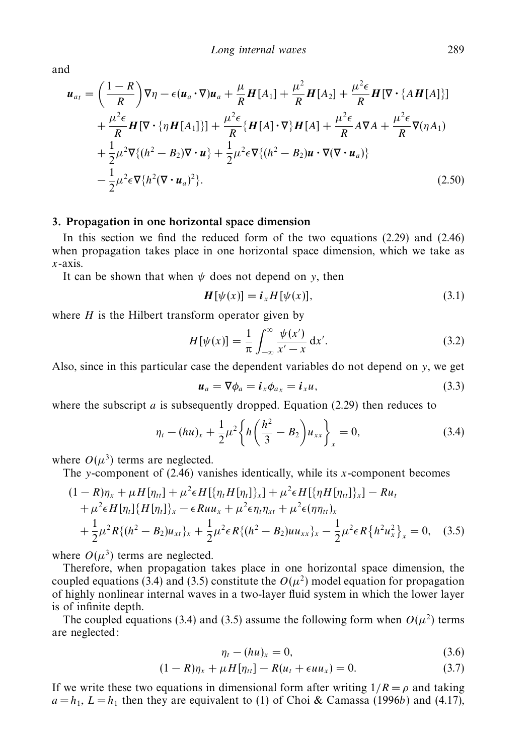and

$$
\mathbf{u}_{at} = \left(\frac{1-R}{R}\right)\nabla\eta - \epsilon(\mathbf{u}_{a}\cdot\nabla)\mathbf{u}_{a} + \frac{\mu}{R}\mathbf{H}[A_{1}] + \frac{\mu^{2}}{R}\mathbf{H}[A_{2}] + \frac{\mu^{2}\epsilon}{R}\mathbf{H}[\nabla\cdot\{AH[A]\}] + \frac{\mu^{2}\epsilon}{R}\mathbf{H}[\nabla\cdot\{\eta\mathbf{H}[A_{1}]\}] + \frac{\mu^{2}\epsilon}{R}\{\mathbf{H}[A]\cdot\nabla\}\mathbf{H}[A] + \frac{\mu^{2}\epsilon}{R}A\nabla A + \frac{\mu^{2}\epsilon}{R}\nabla(\eta A_{1}) + \frac{1}{2}\mu^{2}\nabla\{(h^{2}-B_{2})\nabla\cdot\mathbf{u}\} + \frac{1}{2}\mu^{2}\epsilon\nabla\{(h^{2}-B_{2})\mathbf{u}\cdot\nabla(\nabla\cdot\mathbf{u}_{a})\} - \frac{1}{2}\mu^{2}\epsilon\nabla\{h^{2}(\nabla\cdot\mathbf{u}_{a})^{2}\}.
$$
\n(2.50)

### *3. Propagation in one horizontal space dimension*

In this section we find the reduced form of the two equations (2.29) and (2.46) when propagation takes place in one horizontal space dimension, which we take as *x*-axis.

It can be shown that when  $\psi$  does not depend on *y*, then

$$
\boldsymbol{H}[\psi(x)] = \boldsymbol{i}_x H[\psi(x)],\tag{3.1}
$$

where  $H$  is the Hilbert transform operator given by

$$
H[\psi(x)] = \frac{1}{\pi} \int_{-\infty}^{\infty} \frac{\psi(x')}{x' - x} dx'.
$$
 (3.2)

Also, since in this particular case the dependent variables do not depend on *y*, we get

$$
\boldsymbol{u}_a = \nabla \phi_a = \boldsymbol{i}_x \phi_{a_x} = \boldsymbol{i}_x u, \tag{3.3}
$$

where the subscript *a* is subsequently dropped. Equation (2.29) then reduces to

$$
\eta_t - (hu)_x + \frac{1}{2}\mu^2 \left\{ h \left( \frac{h^2}{3} - B_2 \right) u_{xx} \right\}_x = 0, \tag{3.4}
$$

where  $O(\mu^3)$  terms are neglected.

The *y*-component of (2.46) vanishes identically, while its *x*-component becomes

$$
(1 - R)\eta_x + \mu H[\eta_{tt}] + \mu^2 \epsilon H[\{\eta_t H[\eta_t]\}_x] + \mu^2 \epsilon H[\{\eta H[\eta_{tt}]\}_x] - Ru_t + \mu^2 \epsilon H[\eta_t] \{H[\eta_t]\}_x - \epsilon Ruu_x + \mu^2 \epsilon \eta_t \eta_{xt} + \mu^2 \epsilon (\eta \eta_{tt})_x + \frac{1}{2} \mu^2 R\{(h^2 - B_2)u_{xt}\}_x + \frac{1}{2} \mu^2 \epsilon R\{(h^2 - B_2)uu_{xx}\}_x - \frac{1}{2} \mu^2 \epsilon R\{h^2 u_x^2\}_x = 0, \quad (3.5)
$$

where  $O(\mu^3)$  terms are neglected.

Therefore, when propagation takes place in one horizontal space dimension, the coupled equations (3.4) and (3.5) constitute the  $O(\mu^2)$  model equation for propagation of highly nonlinear internal waves in a two-layer fluid system in which the lower layer is of infinite depth.

The coupled equations (3.4) and (3.5) assume the following form when  $O(u^2)$  terms are neglected:

$$
\eta_t - (hu)_x = 0,\tag{3.6}
$$

$$
(1 - R)\eta_x + \mu H[\eta_{tt}] - R(u_t + \epsilon u u_x) = 0. \tag{3.7}
$$

If we write these two equations in dimensional form after writing  $1/R = \rho$  and taking  $a = h_1$ ,  $L = h_1$  then they are equivalent to (1) of Choi & Camassa (1996b) and (4.17),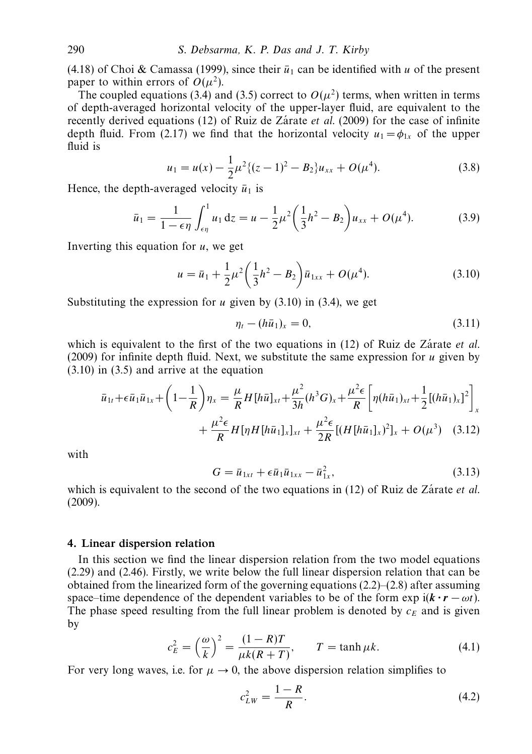(4.18) of Choi & Camassa (1999), since their  $\bar{u}_1$  can be identified with *u* of the present paper to within errors of  $O(u^2)$ .

The coupled equations (3.4) and (3.5) correct to  $O(\mu^2)$  terms, when written in terms of depth-averaged horizontal velocity of the upper-layer fluid, are equivalent to the recently derived equations (12) of Ruiz de Zárate *et al.* (2009) for the case of infinite depth fluid. From (2.17) we find that the horizontal velocity  $u_1 = \phi_{1x}$  of the upper fluid is

$$
u_1 = u(x) - \frac{1}{2}\mu^2 \{ (z-1)^2 - B_2 \} u_{xx} + O(\mu^4). \tag{3.8}
$$

Hence, the depth-averaged velocity  $\bar{u}_1$  is

$$
\bar{u}_1 = \frac{1}{1 - \epsilon \eta} \int_{\epsilon \eta}^1 u_1 \, \mathrm{d}z = u - \frac{1}{2} \mu^2 \left( \frac{1}{3} h^2 - B_2 \right) u_{xx} + O(\mu^4). \tag{3.9}
$$

Inverting this equation for *u*, we get

$$
u = \bar{u}_1 + \frac{1}{2}\mu^2 \left(\frac{1}{3}h^2 - B_2\right) \bar{u}_{1xx} + O(\mu^4). \tag{3.10}
$$

Substituting the expression for *u* given by (3.10) in (3.4), we get

$$
\eta_t - (h\bar{u}_1)_x = 0,\t\t(3.11)
$$

which is equivalent to the first of the two equations in  $(12)$  of Ruiz de Zarate *et al.* (2009) for infinite depth fluid. Next, we substitute the same expression for *u* given by (3.10) in (3.5) and arrive at the equation

$$
\bar{u}_{1t} + \epsilon \bar{u}_{1}\bar{u}_{1x} + \left(1 - \frac{1}{R}\right)\eta_{x} = \frac{\mu}{R}H[h\bar{u}]_{xt} + \frac{\mu^{2}}{3h}(h^{3}G)_{x} + \frac{\mu^{2}\epsilon}{R}\left[\eta(h\bar{u}_{1})_{xt} + \frac{1}{2}[(h\bar{u}_{1})_{x}]^{2}\right]_{x} + \frac{\mu^{2}\epsilon}{R}H[\eta H[h\bar{u}_{1}]_{x}]_{xt} + \frac{\mu^{2}\epsilon}{2R}[(H[h\bar{u}_{1}]_{x})^{2}]_{x} + O(\mu^{3}) \quad (3.12)
$$

with

$$
G = \bar{u}_{1xt} + \epsilon \bar{u}_1 \bar{u}_{1xx} - \bar{u}_{1x}^2, \tag{3.13}
$$

which is equivalent to the second of the two equations in  $(12)$  of Ruiz de Zarate *et al.* (2009).

## *4. Linear dispersion relation*

In this section we find the linear dispersion relation from the two model equations (2.29) and (2.46). Firstly, we write below the full linear dispersion relation that can be obtained from the linearized form of the governing equations  $(2.2)$ – $(2.8)$  after assuming space–time dependence of the dependent variables to be of the form  $\exp i(k \cdot r - \omega t)$ . The phase speed resulting from the full linear problem is denoted by  $c_F$  and is given by

$$
c_E^2 = \left(\frac{\omega}{k}\right)^2 = \frac{(1 - R)T}{\mu k (R + T)}, \qquad T = \tanh \mu k. \tag{4.1}
$$

For very long waves, i.e. for  $\mu \to 0$ , the above dispersion relation simplifies to

$$
c_{LW}^2 = \frac{1 - R}{R}.\tag{4.2}
$$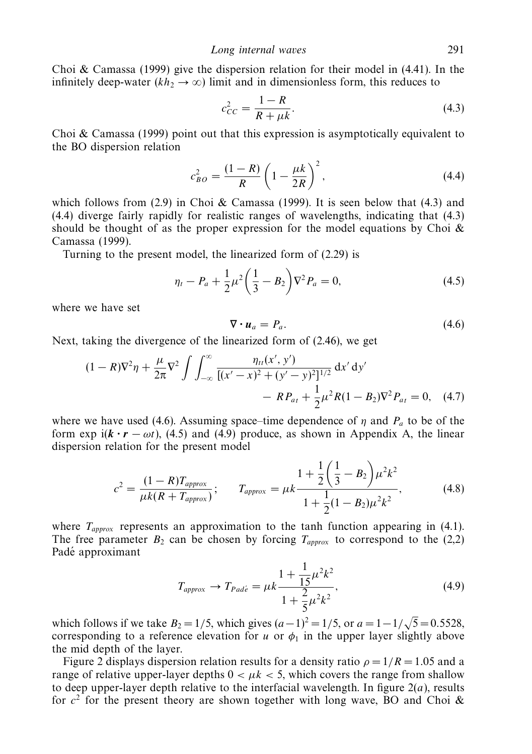Choi  $\&$  Camassa (1999) give the dispersion relation for their model in (4.41). In the infinitely deep-water  $(kh_2 \rightarrow \infty)$  limit and in dimensionless form, this reduces to

$$
c_{CC}^2 = \frac{1 - R}{R + \mu k}.
$$
\n(4.3)

Choi  $\&$  Camassa (1999) point out that this expression is asymptotically equivalent to the BO dispersion relation

$$
c_{BO}^2 = \frac{(1 - R)}{R} \left(1 - \frac{\mu k}{2R}\right)^2,\tag{4.4}
$$

which follows from  $(2.9)$  in Choi & Camassa (1999). It is seen below that  $(4.3)$  and (4.4) diverge fairly rapidly for realistic ranges of wavelengths, indicating that (4.3) should be thought of as the proper expression for the model equations by Choi  $\&$ Camassa (1999).

Turning to the present model, the linearized form of (2.29) is

$$
\eta_t - P_a + \frac{1}{2}\mu^2 \left(\frac{1}{3} - B_2\right) \nabla^2 P_a = 0,\tag{4.5}
$$

where we have set

$$
\nabla \cdot \boldsymbol{u}_a = P_a. \tag{4.6}
$$

Next, taking the divergence of the linearized form of (2.46), we get

$$
(1 - R)\nabla^2 \eta + \frac{\mu}{2\pi} \nabla^2 \int \int_{-\infty}^{\infty} \frac{\eta_{tt}(x', y')}{[(x' - x)^2 + (y' - y)^2]^{1/2}} dx' dy' - R P_{at} + \frac{1}{2} \mu^2 R (1 - B_2) \nabla^2 P_{at} = 0, \quad (4.7)
$$

where we have used (4.6). Assuming space–time dependence of *η* and *Pa* to be of the form exp i( $\mathbf{k} \cdot \mathbf{r} - \omega t$ ), (4.5) and (4.9) produce, as shown in Appendix A, the linear dispersion relation for the present model

$$
c^{2} = \frac{(1 - R)T_{approx}}{\mu k (R + T_{approx})}; \qquad T_{approx} = \mu k \frac{1 + \frac{1}{2} \left(\frac{1}{3} - B_{2}\right) \mu^{2} k^{2}}{1 + \frac{1}{2} (1 - B_{2}) \mu^{2} k^{2}},
$$
(4.8)

where  $T_{approx}$  represents an approximation to the tanh function appearing in (4.1). The free parameter  $B_2$  can be chosen by forcing  $T_{approx}$  to correspond to the (2,2) Padé approximant

$$
T_{approx} \to T_{Pad\acute{e}} = \mu k \frac{1 + \frac{1}{15} \mu^2 k^2}{1 + \frac{2}{5} \mu^2 k^2},
$$
\n(4.9)

which follows if we take  $B_2 = 1/5$ , which gives  $(a-1)^2 = 1/5$ , or  $a = 1-1/\sqrt{3}$  $5=0.5528,$ corresponding to a reference elevation for *u* or  $\phi_1$  in the upper layer slightly above the mid depth of the layer.

Figure 2 displays dispersion relation results for a density ratio  $\rho = 1/R = 1.05$  and a range of relative upper-layer depths  $0 < \mu k < 5$ , which covers the range from shallow to deep upper-layer depth relative to the interfacial wavelength. In figure  $2(a)$ , results for  $c^2$  for the present theory are shown together with long wave, BO and Choi  $\&$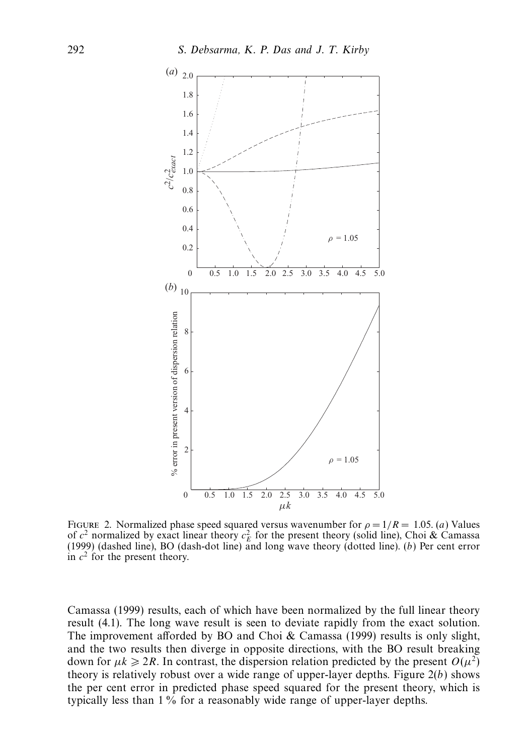

FIGURE 2. Normalized phase speed squared versus wavenumber for  $\rho = 1/R = 1.05$ . (a) Values of  $c^2$  normalized by exact linear theory  $c_E^2$  for the present theory (solid line), Choi & Camassa (1999) (dashed line), BO (dash-dot line) and long wave theory (dotted line). (b) Per cent error in  $c^2$  for the present theory.

Camassa (1999) results, each of which have been normalized by the full linear theory result (4.1). The long wave result is seen to deviate rapidly from the exact solution. The improvement afforded by BO and Choi & Camassa (1999) results is only slight, and the two results then diverge in opposite directions, with the BO result breaking down for  $\mu k \geqslant 2R$ . In contrast, the dispersion relation predicted by the present  $O(\mu^2)$ theory is relatively robust over a wide range of upper-layer depths. Figure  $2(b)$  shows the per cent error in predicted phase speed squared for the present theory, which is typically less than 1% for a reasonably wide range of upper-layer depths.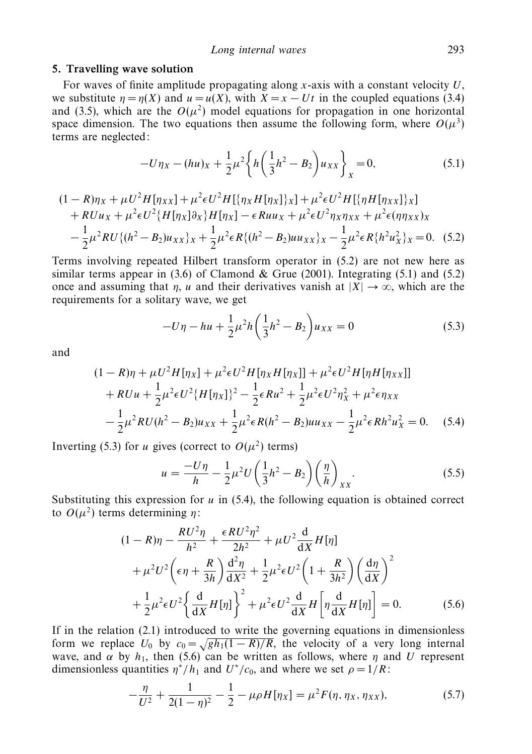#### *5. Travelling wave solution*

For waves of finite amplitude propagating along *x*-axis with a constant velocity *U*, we substitute  $\eta = \eta(X)$  and  $u = u(X)$ , with  $X = x - Ut$  in the coupled equations (3.4) and (3.5), which are the  $O(\mu^2)$  model equations for propagation in one horizontal space dimension. The two equations then assume the following form, where  $O(\mu^3)$ terms are neglected:

$$
-U\eta_X - (hu)_X + \frac{1}{2}\mu^2 \left\{ h \left( \frac{1}{3}h^2 - B_2 \right) u_{XX} \right\}_X = 0, \tag{5.1}
$$

$$
(1 - R)\eta_X + \mu U^2 H[\eta_{XX}] + \mu^2 \epsilon U^2 H[\{\eta_X H[\eta_X]\}_X] + \mu^2 \epsilon U^2 H[\{\eta H[\eta_{XX}]\}_X]
$$
  
+ 
$$
RUu_X + \mu^2 \epsilon U^2 \{H[\eta_X]\partial_X\}H[\eta_X] - \epsilon R u u_X + \mu^2 \epsilon U^2 \eta_X \eta_{XX} + \mu^2 \epsilon (\eta \eta_{XX})_X
$$
  
- 
$$
\frac{1}{2} \mu^2 RU \{ (h^2 - B_2) u_{XX} \}_X + \frac{1}{2} \mu^2 \epsilon R \{ (h^2 - B_2) u u_{XX} \}_X - \frac{1}{2} \mu^2 \epsilon R \{ h^2 u_X^2 \}_X = 0.
$$
 (5.2)

Terms involving repeated Hilbert transform operator in (5.2) are not new here as similar terms appear in  $(3.6)$  of Clamond & Grue (2001). Integrating  $(5.1)$  and  $(5.2)$ once and assuming that *η*, *u* and their derivatives vanish at  $|X| \rightarrow \infty$ , which are the requirements for a solitary wave, we get

$$
-U\eta - hu + \frac{1}{2}\mu^2 h \left(\frac{1}{3}h^2 - B_2\right) u_{XX} = 0
$$
\n(5.3)

and

$$
(1 - R)\eta + \mu U^2 H[\eta_X] + \mu^2 \epsilon U^2 H[\eta_X H[\eta_X]] + \mu^2 \epsilon U^2 H[\eta H[\eta_{XX}]]
$$
  
+  $RUu + \frac{1}{2}\mu^2 \epsilon U^2 \{H[\eta_X]\}^2 - \frac{1}{2}\epsilon Ru^2 + \frac{1}{2}\mu^2 \epsilon U^2 \eta_X^2 + \mu^2 \epsilon \eta_{XX}$   
-  $\frac{1}{2}\mu^2 RU(h^2 - B_2)u_{XX} + \frac{1}{2}\mu^2 \epsilon R(h^2 - B_2)uu_{XX} - \frac{1}{2}\mu^2 \epsilon Rh^2 u_X^2 = 0.$  (5.4)

Inverting (5.3) for *u* gives (correct to  $O(\mu^2)$  terms)

$$
u = \frac{-U\eta}{h} - \frac{1}{2}\mu^2 U\left(\frac{1}{3}h^2 - B_2\right)\left(\frac{\eta}{h}\right)_{XX}.\tag{5.5}
$$

Substituting this expression for *u* in (5.4), the following equation is obtained correct to *O*(*µ*2) terms determining *η*:

$$
(1 - R)\eta - \frac{RU^2\eta}{h^2} + \frac{\epsilon R U^2 \eta^2}{2h^2} + \mu U^2 \frac{d}{dX} H[\eta]
$$
  
+  $\mu^2 U^2 \left(\epsilon \eta + \frac{R}{3h}\right) \frac{d^2 \eta}{dX^2} + \frac{1}{2} \mu^2 \epsilon U^2 \left(1 + \frac{R}{3h^2}\right) \left(\frac{d\eta}{dX}\right)^2$   
+  $\frac{1}{2} \mu^2 \epsilon U^2 \left\{\frac{d}{dX} H[\eta]\right\}^2 + \mu^2 \epsilon U^2 \frac{d}{dX} H\left[\eta \frac{d}{dX} H[\eta]\right] = 0.$  (5.6)

If in the relation (2.1) introduced to write the governing equations in dimensionless form we replace  $U_0$  by  $c_0 = \sqrt{gh_1(1 - R)/R}$ , the velocity of a very long internal wave, and  $\alpha$  by  $h_1$ , then (5.6) can be written as follows, where  $\eta$  and *U* represent dimensionless quantities  $\eta^*/h_1$  and  $U^*/c_0$ , and where we set  $\rho = 1/R$ :

$$
-\frac{\eta}{U^2} + \frac{1}{2(1-\eta)^2} - \frac{1}{2} - \mu \rho H[\eta_X] = \mu^2 F(\eta, \eta_X, \eta_{XX}),
$$
\n(5.7)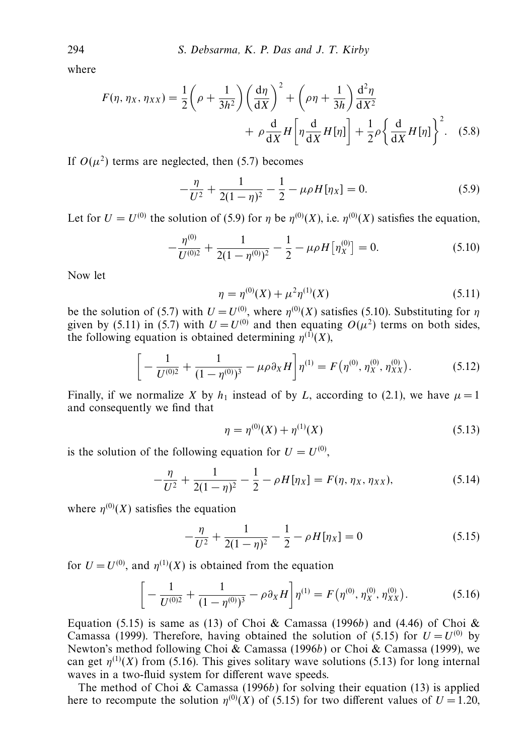where

$$
F(\eta, \eta_X, \eta_{XX}) = \frac{1}{2} \left( \rho + \frac{1}{3h^2} \right) \left( \frac{d\eta}{dX} \right)^2 + \left( \rho \eta + \frac{1}{3h} \right) \frac{d^2 \eta}{dX^2} + \rho \frac{d}{dX} H \left[ \eta \frac{d}{dX} H[\eta] \right] + \frac{1}{2} \rho \left\{ \frac{d}{dX} H[\eta] \right\}^2. \tag{5.8}
$$

If  $O(\mu^2)$  terms are neglected, then (5.7) becomes

$$
-\frac{\eta}{U^2} + \frac{1}{2(1-\eta)^2} - \frac{1}{2} - \mu \rho H[\eta_X] = 0.
$$
 (5.9)

Let for  $U = U^{(0)}$  the solution of (5.9) for *η* be  $\eta^{(0)}(X)$ , i.e.  $\eta^{(0)}(X)$  satisfies the equation,

$$
-\frac{\eta^{(0)}}{U^{(0)2}} + \frac{1}{2(1-\eta^{(0)})^2} - \frac{1}{2} - \mu \rho H \left[ \eta_X^{(0)} \right] = 0. \tag{5.10}
$$

Now let

$$
\eta = \eta^{(0)}(X) + \mu^2 \eta^{(1)}(X) \tag{5.11}
$$

be the solution of (5.7) with  $U = U^{(0)}$ , where  $\eta^{(0)}(X)$  satisfies (5.10). Substituting for  $\eta$ given by (5.11) in (5.7) with  $U = U^{(0)}$  and then equating  $O(\mu^2)$  terms on both sides, the following equation is obtained determining  $\eta^{(1)}(X)$ ,

$$
\left[ -\frac{1}{U^{(0)2}} + \frac{1}{(1 - \eta^{(0)})^3} - \mu \rho \partial_X H \right] \eta^{(1)} = F(\eta^{(0)}, \eta_X^{(0)}, \eta_{XX}^{(0)}). \tag{5.12}
$$

Finally, if we normalize *X* by  $h_1$  instead of by *L*, according to (2.1), we have  $\mu = 1$ and consequently we find that

$$
\eta = \eta^{(0)}(X) + \eta^{(1)}(X) \tag{5.13}
$$

is the solution of the following equation for  $U = U^{(0)}$ ,

$$
-\frac{\eta}{U^2} + \frac{1}{2(1-\eta)^2} - \frac{1}{2} - \rho H[\eta_X] = F(\eta, \eta_X, \eta_{XX}),
$$
\n(5.14)

where  $\eta^{(0)}(X)$  satisfies the equation

$$
-\frac{\eta}{U^2} + \frac{1}{2(1-\eta)^2} - \frac{1}{2} - \rho H[\eta_X] = 0
$$
\n(5.15)

for  $U = U^{(0)}$ , and  $\eta^{(1)}(X)$  is obtained from the equation

$$
\[ -\frac{1}{U^{(0)2}} + \frac{1}{(1 - \eta^{(0)})^3} - \rho \partial_X H \] \eta^{(1)} = F(\eta^{(0)}, \eta_X^{(0)}, \eta_{XX}^{(0)}). \tag{5.16}
$$

Equation (5.15) is same as (13) of Choi & Camassa (1996b) and (4.46) of Choi & Camassa (1999). Therefore, having obtained the solution of (5.15) for  $U = U^{(0)}$  by Newton's method following Choi & Camassa (1996b) or Choi & Camassa (1999), we can get  $\eta^{(1)}(X)$  from (5.16). This gives solitary wave solutions (5.13) for long internal waves in a two-fluid system for different wave speeds.

The method of Choi  $&$  Camassa (1996b) for solving their equation (13) is applied here to recompute the solution  $\eta^{(0)}(X)$  of (5.15) for two different values of  $U = 1.20$ ,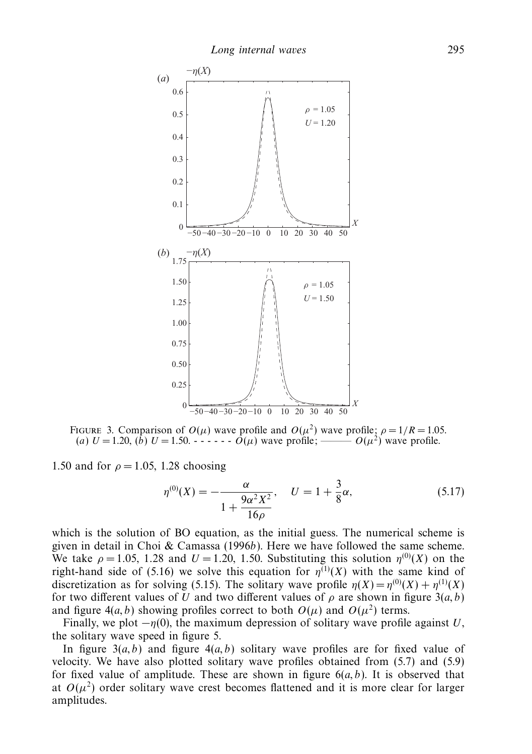

Figure 3. Comparison of *O*(*µ*) wave profile and *O*(*µ*2) wave profile; *ρ* = 1*/R* = 1.05. (a)  $U = 1.20$ , (b)  $U = 1.50$ .  $\cdots$   $\cdots$   $\cdots$   $\dot{O}(\mu)$  wave profile;

1.50 and for  $\rho = 1.05$ , 1.28 choosing

$$
\eta^{(0)}(X) = -\frac{\alpha}{1 + \frac{9\alpha^2 X^2}{16\rho}}, \quad U = 1 + \frac{3}{8}\alpha,
$$
\n(5.17)

which is the solution of BO equation, as the initial guess. The numerical scheme is given in detail in Choi & Camassa (1996b). Here we have followed the same scheme. We take  $\rho = 1.05$ , 1.28 and  $U = 1.20$ , 1.50. Substituting this solution  $\eta^{(0)}(X)$  on the right-hand side of (5.16) we solve this equation for  $\eta^{(1)}(X)$  with the same kind of discretization as for solving (5.15). The solitary wave profile  $\eta(X) = \eta^{(0)}(X) + \eta^{(1)}(X)$ for two different values of *U* and two different values of  $\rho$  are shown in figure 3(*a*, *b*) and figure  $4(a, b)$  showing profiles correct to both  $O(\mu)$  and  $O(\mu^2)$  terms.

Finally, we plot  $-\eta(0)$ , the maximum depression of solitary wave profile against *U*, the solitary wave speed in figure 5.

In figure  $3(a, b)$  and figure  $4(a, b)$  solitary wave profiles are for fixed value of velocity. We have also plotted solitary wave profiles obtained from (5.7) and (5.9) for fixed value of amplitude. These are shown in figure  $6(a, b)$ . It is observed that at  $O(\mu^2)$  order solitary wave crest becomes flattened and it is more clear for larger amplitudes.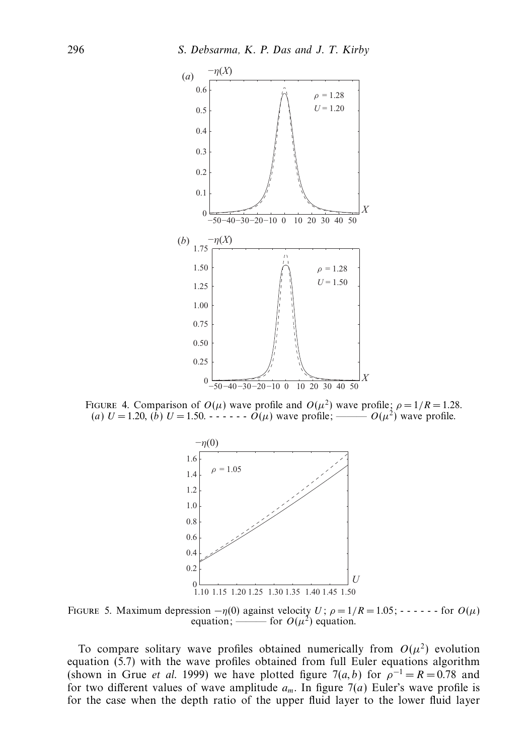

FIGURE 4. Comparison of  $O(\mu)$  wave profile and  $O(\mu^2)$  wave profile;  $\rho = 1/R = 1.28$ . (a)  $U = 1.20$ , (b)  $U = 1.50$ .  $\cdots$   $\cdots$   $\cdots$   $\cdots$   $\cdots$   $\cdots$   $\cdots$   $\cdots$   $\cdots$   $\cdots$   $\cdots$   $\cdots$   $\cdots$   $\cdots$   $\cdots$   $\cdots$   $\cdots$   $\cdots$   $\cdots$   $\cdots$   $\cdots$   $\cdots$   $\cdots$   $\cdots$ 



FIGURE 5. Maximum depression  $-\eta(0)$  against velocity *U*;  $\rho = 1/R = 1.05$ ; - - - - - - for  $O(\mu)$ equation; ——— for  $O(\mu^2)$  equation.

To compare solitary wave profiles obtained numerically from  $O(\mu^2)$  evolution equation (5.7) with the wave profiles obtained from full Euler equations algorithm (shown in Grue *et al.* 1999) we have plotted figure  $7(a, b)$  for  $\rho^{-1} = R = 0.78$  and for two different values of wave amplitude  $a_m$ . In figure  $7(a)$  Euler's wave profile is for the case when the depth ratio of the upper fluid layer to the lower fluid layer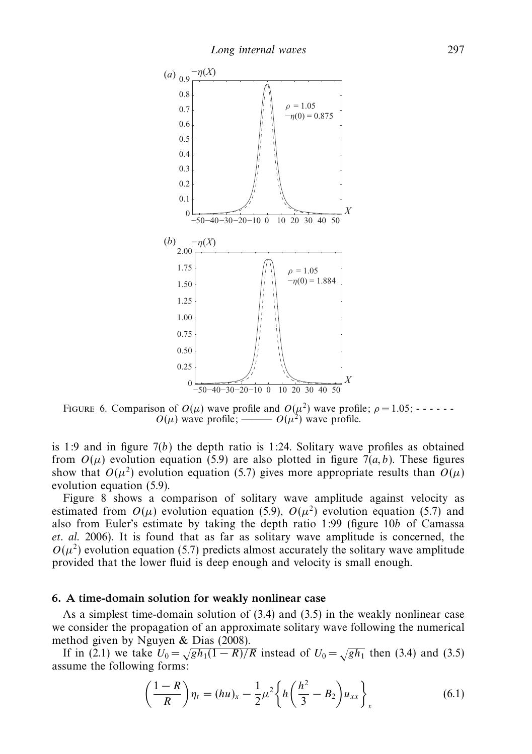

FIGURE 6. Comparison of  $O(\mu)$  wave profile and  $O(\mu^2)$  wave profile;  $\rho = 1.05$ ; - - - - - $O(\mu)$  wave profile; ———  $O(\mu^2)$  wave profile.

is 1:9 and in figure  $7(b)$  the depth ratio is 1:24. Solitary wave profiles as obtained from  $O(\mu)$  evolution equation (5.9) are also plotted in figure 7(*a*, *b*). These figures show that  $O(\mu^2)$  evolution equation (5.7) gives more appropriate results than  $O(\mu)$ evolution equation (5.9).

Figure 8 shows a comparison of solitary wave amplitude against velocity as estimated from  $O(\mu)$  evolution equation (5.9),  $O(\mu^2)$  evolution equation (5.7) and also from Euler's estimate by taking the depth ratio 1:99 (figure 10b of Camassa et. al. 2006). It is found that as far as solitary wave amplitude is concerned, the  $O(\mu^2)$  evolution equation (5.7) predicts almost accurately the solitary wave amplitude provided that the lower fluid is deep enough and velocity is small enough.

#### *6. A time-domain solution for weakly nonlinear case*

As a simplest time-domain solution of (3.4) and (3.5) in the weakly nonlinear case we consider the propagation of an approximate solitary wave following the numerical method given by Nguyen & Dias (2008).

If in (2.1) we take  $U_0 = \sqrt{gh_1(1 - R)/R}$  instead of  $U_0 = \sqrt{gh_1}$  then (3.4) and (3.5) assume the following forms:

$$
\left(\frac{1-R}{R}\right)\eta_t = (hu)_x - \frac{1}{2}\mu^2 \left\{ h \left(\frac{h^2}{3} - B_2 \right) u_{xx} \right\}_x \tag{6.1}
$$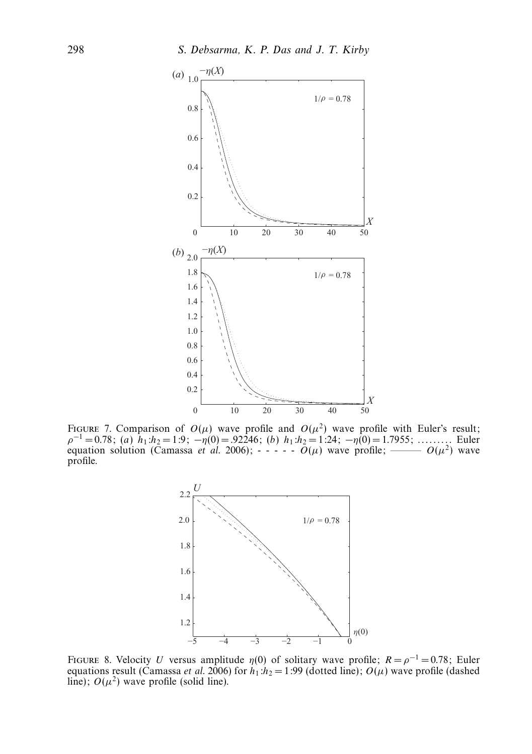

FIGURE 7. Comparison of  $O(\mu)$  wave profile and  $O(\mu^2)$  wave profile with Euler's result; *ρ*<sup>−</sup><sup>1</sup> = 0.78; (a) *h*1:*h*<sup>2</sup> = 1:9; −*η*(0) = .92246; (b) *h*1:*h*<sup>2</sup> = 1:24; −*η*(0) = 1.7955; . . . . . . . . . Euler equation solution (Camassa *et al.* 2006);  $- - - - -$  *O(* $\mu$ *)* wave profile; ———  $O(\mu^2)$  wave profile.



FIGURE 8. Velocity *U* versus amplitude  $\eta(0)$  of solitary wave profile;  $R = \rho^{-1} = 0.78$ ; Euler equations result (Camassa *et al.* 2006) for  $h_1: h_2 = 1:99$  (dotted line);  $O(\mu)$  wave profile (dashed line);  $O(\mu^2)$  wave profile (solid line).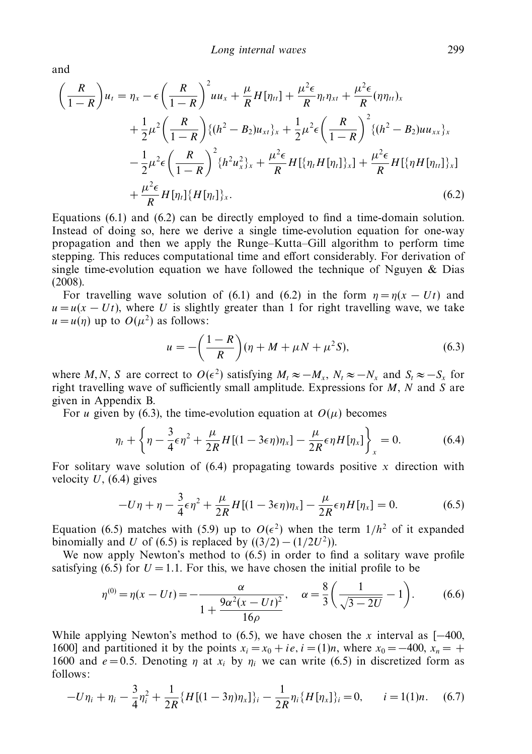and

$$
\left(\frac{R}{1-R}\right)u_t = \eta_x - \epsilon \left(\frac{R}{1-R}\right)^2 u u_x + \frac{\mu}{R} H[\eta_{tt}] + \frac{\mu^2 \epsilon}{R} \eta_t \eta_{xt} + \frac{\mu^2 \epsilon}{R} (\eta \eta_{tt})_x \n+ \frac{1}{2} \mu^2 \left(\frac{R}{1-R}\right) \{ (h^2 - B_2) u_{xt} \}_x + \frac{1}{2} \mu^2 \epsilon \left(\frac{R}{1-R}\right)^2 \{ (h^2 - B_2) u u_{xx} \}_x \n- \frac{1}{2} \mu^2 \epsilon \left(\frac{R}{1-R}\right)^2 \{ h^2 u_x^2 \}_x + \frac{\mu^2 \epsilon}{R} H[\{\eta_t H[\eta_t]\}_x] + \frac{\mu^2 \epsilon}{R} H[\{\eta H[\eta_{tt}]\}_x] \n+ \frac{\mu^2 \epsilon}{R} H[\eta_t] \{ H[\eta_t] \}_x. \tag{6.2}
$$

Equations (6.1) and (6.2) can be directly employed to find a time-domain solution. Instead of doing so, here we derive a single time-evolution equation for one-way propagation and then we apply the Runge–Kutta–Gill algorithm to perform time stepping. This reduces computational time and effort considerably. For derivation of single time-evolution equation we have followed the technique of Nguyen  $\&$  Dias (2008).

For travelling wave solution of (6.1) and (6.2) in the form  $\eta = \eta(x - Ut)$  and  $u = u(x - Ut)$ , where *U* is slightly greater than 1 for right travelling wave, we take  $u = u(\eta)$  up to  $O(\mu^2)$  as follows:

$$
u = -\left(\frac{1-R}{R}\right)(\eta + M + \mu N + \mu^2 S),
$$
\n(6.3)

where *M*, *N*, *S* are correct to  $O(\epsilon^2)$  satisfying  $M_t \approx -M_x$ ,  $N_t \approx -N_x$  and  $S_t \approx -S_x$  for right travelling wave of sufficiently small amplitude. Expressions for *M*, *N* and *S* are given in Appendix B.

For *u* given by (6.3), the time-evolution equation at  $O(\mu)$  becomes

$$
\eta_t + \left\{ \eta - \frac{3}{4} \epsilon \eta^2 + \frac{\mu}{2R} H[(1 - 3\epsilon \eta) \eta_x] - \frac{\mu}{2R} \epsilon \eta H[\eta_x] \right\}_x = 0. \tag{6.4}
$$

For solitary wave solution of  $(6.4)$  propagating towards positive x direction with velocity  $U$ , (6.4) gives

$$
-U\eta + \eta - \frac{3}{4}\epsilon\eta^2 + \frac{\mu}{2R}H[(1 - 3\epsilon\eta)\eta_x] - \frac{\mu}{2R}\epsilon\eta H[\eta_x] = 0.
$$
 (6.5)

Equation (6.5) matches with (5.9) up to  $O(\epsilon^2)$  when the term  $1/h^2$  of it expanded binomially and *U* of (6.5) is replaced by  $((3/2) - (1/2U^2))$ .

We now apply Newton's method to (6.5) in order to find a solitary wave profile satisfying (6.5) for  $U = 1.1$ . For this, we have chosen the initial profile to be

$$
\eta^{(0)} = \eta(x - Ut) = -\frac{\alpha}{1 + \frac{9\alpha^2(x - Ut)^2}{16\rho}}, \quad \alpha = \frac{8}{3} \left( \frac{1}{\sqrt{3 - 2U}} - 1 \right). \tag{6.6}
$$

While applying Newton's method to (6.5), we have chosen the *x* interval as  $[-400,$ 1600] and partitioned it by the points  $x_i = x_0 + ie$ ,  $i = (1)n$ , where  $x_0 = -400$ ,  $x_n = +$ 1600 and  $e = 0.5$ . Denoting *η* at  $x_i$  by  $\eta_i$  we can write (6.5) in discretized form as follows:

$$
-U\eta_i + \eta_i - \frac{3}{4}\eta_i^2 + \frac{1}{2R}\{H[(1-3\eta)\eta_x]\}_i - \frac{1}{2R}\eta_i\{H[\eta_x]\}_i = 0, \qquad i = 1(1)n. \tag{6.7}
$$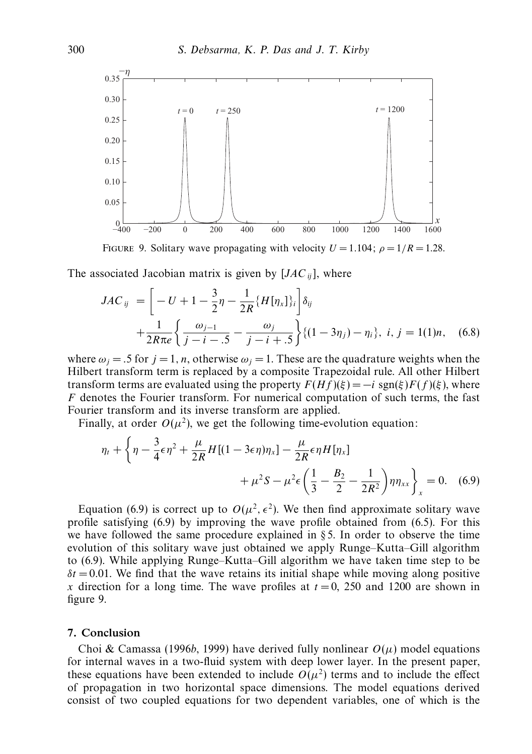

FIGURE 9. Solitary wave propagating with velocity  $U = 1.104$ ;  $\rho = 1/R = 1.28$ .

The associated Jacobian matrix is given by  $[JAC_{ii}]$ , where

$$
JAC_{ij} = \left[ -U + 1 - \frac{3}{2}\eta - \frac{1}{2R} \{H[\eta_x]\}_i \right] \delta_{ij} + \frac{1}{2R\pi e} \left\{ \frac{\omega_{j-1}}{j-i-5} - \frac{\omega_j}{j-i+5} \right\} \{ (1-3\eta_j) - \eta_i \}, \ i, j = 1(1)n, \quad (6.8)
$$

where  $\omega_i = .5$  for  $j = 1, n$ , otherwise  $\omega_i = 1$ . These are the quadrature weights when the Hilbert transform term is replaced by a composite Trapezoidal rule. All other Hilbert transform terms are evaluated using the property  $F(Hf)(\xi) = -i \operatorname{sgn}(\xi) F(f)(\xi)$ , where *F* denotes the Fourier transform. For numerical computation of such terms, the fast Fourier transform and its inverse transform are applied.

Finally, at order  $O(\mu^2)$ , we get the following time-evolution equation:

$$
\eta_t + \left\{ \eta - \frac{3}{4} \epsilon \eta^2 + \frac{\mu}{2R} H[(1 - 3\epsilon \eta)\eta_x] - \frac{\mu}{2R} \epsilon \eta H[\eta_x] + \mu^2 S - \mu^2 \epsilon \left( \frac{1}{3} - \frac{B_2}{2} - \frac{1}{2R^2} \right) \eta \eta_{xx} \right\}_x = 0. \quad (6.9)
$$

Equation (6.9) is correct up to  $O(\mu^2, \epsilon^2)$ . We then find approximate solitary wave profile satisfying (6.9) by improving the wave profile obtained from (6.5). For this we have followed the same procedure explained in § 5. In order to observe the time evolution of this solitary wave just obtained we apply Runge–Kutta–Gill algorithm to (6.9). While applying Runge–Kutta–Gill algorithm we have taken time step to be  $\delta t = 0.01$ . We find that the wave retains its initial shape while moving along positive *x* direction for a long time. The wave profiles at  $t = 0$ , 250 and 1200 are shown in figure 9.

#### *7. Conclusion*

Choi & Camassa (1996b, 1999) have derived fully nonlinear  $O(\mu)$  model equations for internal waves in a two-fluid system with deep lower layer. In the present paper, these equations have been extended to include  $O(\mu^2)$  terms and to include the effect of propagation in two horizontal space dimensions. The model equations derived consist of two coupled equations for two dependent variables, one of which is the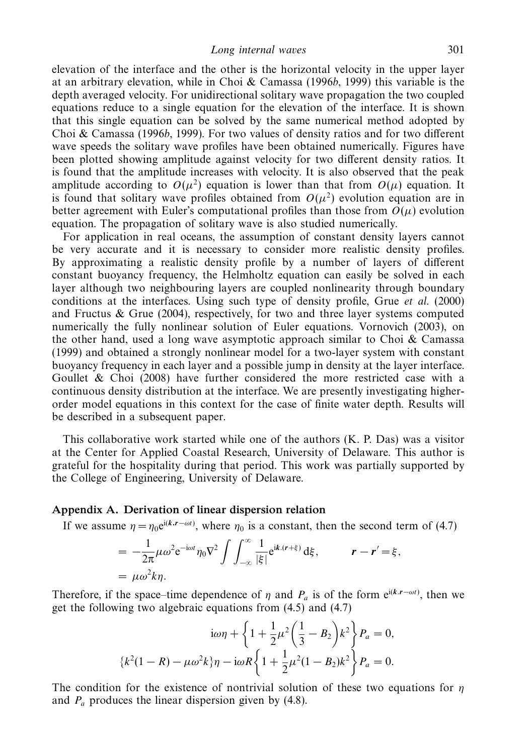elevation of the interface and the other is the horizontal velocity in the upper layer at an arbitrary elevation, while in Choi & Camassa (1996b, 1999) this variable is the depth averaged velocity. For unidirectional solitary wave propagation the two coupled equations reduce to a single equation for the elevation of the interface. It is shown that this single equation can be solved by the same numerical method adopted by Choi & Camassa (1996b, 1999). For two values of density ratios and for two different wave speeds the solitary wave profiles have been obtained numerically. Figures have been plotted showing amplitude against velocity for two different density ratios. It is found that the amplitude increases with velocity. It is also observed that the peak amplitude according to  $O(\mu^2)$  equation is lower than that from  $O(\mu)$  equation. It is found that solitary wave profiles obtained from  $O(\mu^2)$  evolution equation are in better agreement with Euler's computational profiles than those from  $O(\mu)$  evolution equation. The propagation of solitary wave is also studied numerically.

For application in real oceans, the assumption of constant density layers cannot be very accurate and it is necessary to consider more realistic density profiles. By approximating a realistic density profile by a number of layers of different constant buoyancy frequency, the Helmholtz equation can easily be solved in each layer although two neighbouring layers are coupled nonlinearity through boundary conditions at the interfaces. Using such type of density profile, Grue et al. (2000) and Fructus & Grue (2004), respectively, for two and three layer systems computed numerically the fully nonlinear solution of Euler equations. Vornovich (2003), on the other hand, used a long wave asymptotic approach similar to Choi  $\&$  Camassa (1999) and obtained a strongly nonlinear model for a two-layer system with constant buoyancy frequency in each layer and a possible jump in density at the layer interface. Goullet & Choi (2008) have further considered the more restricted case with a continuous density distribution at the interface. We are presently investigating higherorder model equations in this context for the case of finite water depth. Results will be described in a subsequent paper.

This collaborative work started while one of the authors (K. P. Das) was a visitor at the Center for Applied Coastal Research, University of Delaware. This author is grateful for the hospitality during that period. This work was partially supported by the College of Engineering, University of Delaware.

#### *Appendix A. Derivation of linear dispersion relation*

If we assume  $\eta = \eta_0 e^{i(k \cdot \mathbf{r} - \omega t)}$ , where  $\eta_0$  is a constant, then the second term of (4.7)

$$
= -\frac{1}{2\pi} \mu \omega^2 e^{-i\omega t} \eta_0 \nabla^2 \int \int_{-\infty}^{\infty} \frac{1}{|\xi|} e^{ik.(r+\xi)} d\xi, \qquad r - r' = \xi,
$$
  
=  $\mu \omega^2 k \eta.$ 

Therefore, if the space–time dependence of  $\eta$  and  $P_a$  is of the form e<sup>i(k,*r*−*ωt*)</sup>, then we get the following two algebraic equations from (4.5) and (4.7)

$$
i\omega\eta + \left\{1 + \frac{1}{2}\mu^2\left(\frac{1}{3} - B_2\right)k^2\right\}P_a = 0,
$$
  

$$
\left\{k^2(1 - R) - \mu\omega^2k\right\}\eta - i\omega R\left\{1 + \frac{1}{2}\mu^2(1 - B_2)k^2\right\}P_a = 0.
$$

The condition for the existence of nontrivial solution of these two equations for *η* and *Pa* produces the linear dispersion given by (4.8).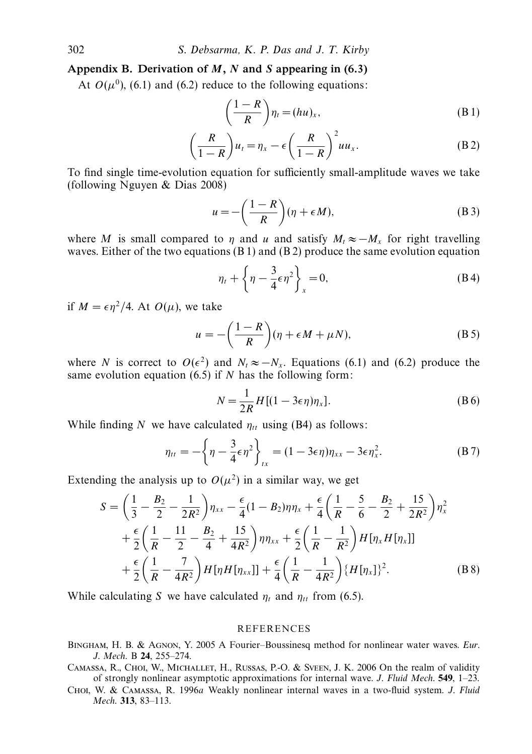## *Appendix B. Derivation of M, N and S appearing in (6.3)*

At  $O(\mu^0)$ , (6.1) and (6.2) reduce to the following equations:

$$
\left(\frac{1-R}{R}\right)\eta_t = (hu)_x,\tag{B.1}
$$

$$
\left(\frac{R}{1-R}\right)u_t = \eta_x - \epsilon \left(\frac{R}{1-R}\right)^2 u u_x.
$$
 (B.2)

To find single time-evolution equation for sufficiently small-amplitude waves we take (following Nguyen & Dias 2008)

$$
u = -\left(\frac{1-R}{R}\right)(\eta + \epsilon M),\tag{B 3}
$$

where M is small compared to  $\eta$  and  $u$  and satisfy  $M_t \approx -M_x$  for right travelling waves. Either of the two equations  $(B 1)$  and  $(B 2)$  produce the same evolution equation

$$
\eta_t + \left\{\eta - \frac{3}{4}\epsilon\eta^2\right\}_x = 0,\tag{B4}
$$

if  $M = \epsilon \eta^2/4$ . At  $O(\mu)$ , we take

$$
u = -\left(\frac{1-R}{R}\right)(\eta + \epsilon M + \mu N),\tag{B 5}
$$

where *N* is correct to  $O(\epsilon^2)$  and  $N_t \approx -N_x$ . Equations (6.1) and (6.2) produce the same evolution equation (6.5) if *N* has the following form:

$$
N = \frac{1}{2R} H[(1 - 3\epsilon \eta)\eta_x].
$$
 (B6)

While finding N we have calculated  $\eta_{tt}$  using (B4) as follows:

$$
\eta_{tt} = -\left\{\eta - \frac{3}{4}\epsilon\eta^2\right\}_{tx} = (1 - 3\epsilon\eta)\eta_{xx} - 3\epsilon\eta_x^2.
$$
 (B 7)

Extending the analysis up to  $O(\mu^2)$  in a similar way, we get

$$
S = \left(\frac{1}{3} - \frac{B_2}{2} - \frac{1}{2R^2}\right)\eta_{xx} - \frac{\epsilon}{4}(1 - B_2)\eta\eta_x + \frac{\epsilon}{4}\left(\frac{1}{R} - \frac{5}{6} - \frac{B_2}{2} + \frac{15}{2R^2}\right)\eta_x^2
$$
  
+ 
$$
\frac{\epsilon}{2}\left(\frac{1}{R} - \frac{11}{2} - \frac{B_2}{4} + \frac{15}{4R^2}\right)\eta\eta_{xx} + \frac{\epsilon}{2}\left(\frac{1}{R} - \frac{1}{R^2}\right)H[\eta_x H[\eta_x]]
$$
  
+ 
$$
\frac{\epsilon}{2}\left(\frac{1}{R} - \frac{7}{4R^2}\right)H[\eta H[\eta_{xx}]] + \frac{\epsilon}{4}\left(\frac{1}{R} - \frac{1}{4R^2}\right)\{H[\eta_x]\}^2.
$$
 (B8)

While calculating S we have calculated  $\eta_t$  and  $\eta_{tt}$  from (6.5).

#### **REFERENCES**

- Bingham, H. B. & Agnon, Y. 2005 A Fourier–Boussinesq method for nonlinear water waves. Eur. J. Mech. B **24**, 255–274.
- Camassa, R., Choi, W., Michallet, H., Russas, P.-O. & Sveen, J. K. 2006 On the realm of validity of strongly nonlinear asymptotic approximations for internal wave. J. Fluid Mech. **549**, 1–23.
- Choi, W. & Camassa, R. 1996a Weakly nonlinear internal waves in a two-fluid system. J. Fluid Mech. **313**, 83–113.